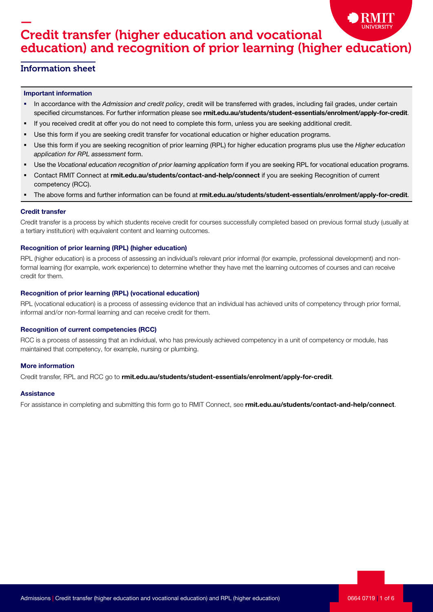# — Credit transfer (higher education and vocational education) and recognition of prior learning (higher education)

### Information sheet

#### Important information

- In accordance with the Admission and credit policy, credit will be transferred with grades, including fail grades, under certain specified circumstances. For further information please see rmit.edu.au/students/student-essentials/enrolment/apply-for-credit.
- If you received credit at offer you do not need to complete this form, unless you are seeking additional credit.
- Use this form if you are seeking credit transfer for vocational education or higher education programs.
- Use this form if you are seeking recognition of prior learning (RPL) for higher education programs plus use the Higher education application for RPL assessment form.
- Use the Vocational education recognition of prior learning application form if you are seeking RPL for vocational education programs.
- Contact RMIT Connect at rmit.edu.au/students/contact-and-help/connect if you are seeking Recognition of current competency (RCC).
- The above forms and further information can be found at rmit.edu.au/students/student-essentials/enrolment/apply-for-credit.

#### Credit transfer

Credit transfer is a process by which students receive credit for courses successfully completed based on previous formal study (usually at a tertiary institution) with equivalent content and learning outcomes.

#### Recognition of prior learning (RPL) (higher education)

RPL (higher education) is a process of assessing an individual's relevant prior informal (for example, professional development) and nonformal learning (for example, work experience) to determine whether they have met the learning outcomes of courses and can receive credit for them.

#### Recognition of prior learning (RPL) (vocational education)

RPL (vocational education) is a process of assessing evidence that an individual has achieved units of competency through prior formal, informal and/or non-formal learning and can receive credit for them.

#### Recognition of current competencies (RCC)

RCC is a process of assessing that an individual, who has previously achieved competency in a unit of competency or module, has maintained that competency, for example, nursing or plumbing.

#### More information

Credit transfer, RPL and RCC go to rmit.edu.au/students/student-essentials/enrolment/apply-for-credit.

#### **Assistance**

For assistance in completing and submitting this form go to RMIT Connect, see rmit.edu.au/students/contact-and-help/connect.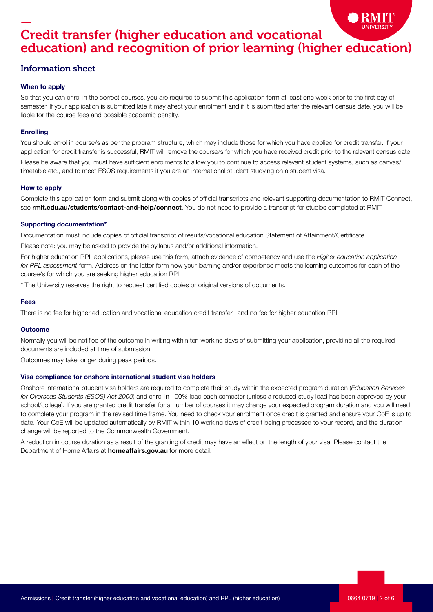# — Credit transfer (higher education and vocational education) and recognition of prior learning (higher education)

### Information sheet

#### When to apply

So that you can enrol in the correct courses, you are required to submit this application form at least one week prior to the first day of semester. If your application is submitted late it may affect your enrolment and if it is submitted after the relevant census date, you will be liable for the course fees and possible academic penalty.

#### **Enrolling**

You should enrol in course/s as per the program structure, which may include those for which you have applied for credit transfer. If your application for credit transfer is successful, RMIT will remove the course/s for which you have received credit prior to the relevant census date.

Please be aware that you must have sufficient enrolments to allow you to continue to access relevant student systems, such as canvas/ timetable etc., and to meet ESOS requirements if you are an international student studying on a student visa.

#### How to apply

Complete this application form and submit along with copies of official transcripts and relevant supporting documentation to RMIT Connect, see rmit.edu.au/students/contact-and-help/connect. You do not need to provide a transcript for studies completed at RMIT.

#### Supporting documentation\*

Documentation must include copies of official transcript of results/vocational education Statement of Attainment/Certificate.

Please note: you may be asked to provide the syllabus and/or additional information.

For higher education RPL applications, please use this form, attach evidence of competency and use the Higher education application for RPL assessment form. Address on the latter form how your learning and/or experience meets the learning outcomes for each of the course/s for which you are seeking higher education RPL.

\* The University reserves the right to request certified copies or original versions of documents.

#### Fees

There is no fee for higher education and vocational education credit transfer, and no fee for higher education RPL.

#### Outcome

Normally you will be notified of the outcome in writing within ten working days of submitting your application, providing all the required documents are included at time of submission.

Outcomes may take longer during peak periods.

#### Visa compliance for onshore international student visa holders

Onshore international student visa holders are required to complete their study within the expected program duration (Education Services for Overseas Students (ESOS) Act 2000) and enrol in 100% load each semester (unless a reduced study load has been approved by your school/college). If you are granted credit transfer for a number of courses it may change your expected program duration and you will need to complete your program in the revised time frame. You need to check your enrolment once credit is granted and ensure your CoE is up to date. Your CoE will be updated automatically by RMIT within 10 working days of credit being processed to your record, and the duration change will be reported to the Commonwealth Government.

A reduction in course duration as a result of the granting of credit may have an effect on the length of your visa. Please contact the Department of Home Affairs at **homeaffairs.gov.au** for more detail.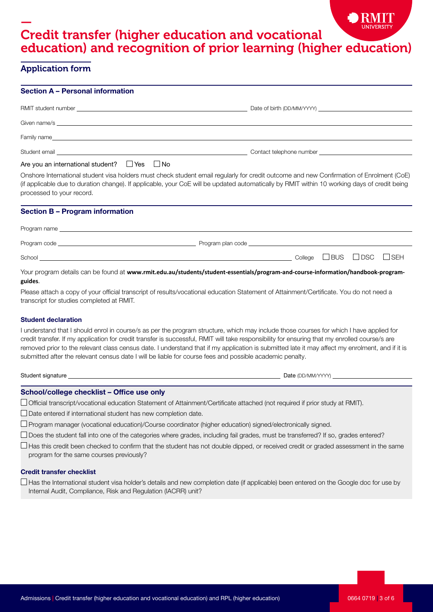# — Credit transfer (higher education and vocational education) and recognition of prior learning (higher education)

## Application form

| <b>Section A - Personal information</b>                               |                                                                                                                                                                                                                                                                                                                                                                                                                                                                                                                                                          |  |  |  |  |  |  |  |  |
|-----------------------------------------------------------------------|----------------------------------------------------------------------------------------------------------------------------------------------------------------------------------------------------------------------------------------------------------------------------------------------------------------------------------------------------------------------------------------------------------------------------------------------------------------------------------------------------------------------------------------------------------|--|--|--|--|--|--|--|--|
|                                                                       |                                                                                                                                                                                                                                                                                                                                                                                                                                                                                                                                                          |  |  |  |  |  |  |  |  |
|                                                                       |                                                                                                                                                                                                                                                                                                                                                                                                                                                                                                                                                          |  |  |  |  |  |  |  |  |
|                                                                       |                                                                                                                                                                                                                                                                                                                                                                                                                                                                                                                                                          |  |  |  |  |  |  |  |  |
|                                                                       |                                                                                                                                                                                                                                                                                                                                                                                                                                                                                                                                                          |  |  |  |  |  |  |  |  |
| Are you an international student? $\Box$ Yes $\Box$ No                |                                                                                                                                                                                                                                                                                                                                                                                                                                                                                                                                                          |  |  |  |  |  |  |  |  |
| processed to your record.                                             | Onshore International student visa holders must check student email regularly for credit outcome and new Confirmation of Enrolment (CoE)<br>(if applicable due to duration change). If applicable, your CoE will be updated automatically by RMIT within 10 working days of credit being                                                                                                                                                                                                                                                                 |  |  |  |  |  |  |  |  |
| <b>Section B - Program information</b>                                |                                                                                                                                                                                                                                                                                                                                                                                                                                                                                                                                                          |  |  |  |  |  |  |  |  |
|                                                                       | Program name experience and the contract of the contract of the contract of the contract of the contract of the contract of the contract of the contract of the contract of the contract of the contract of the contract of th                                                                                                                                                                                                                                                                                                                           |  |  |  |  |  |  |  |  |
|                                                                       |                                                                                                                                                                                                                                                                                                                                                                                                                                                                                                                                                          |  |  |  |  |  |  |  |  |
|                                                                       | $School$ $\Box$ $BUS$ $\Box$ $DSC$<br>$\Box$ SEH                                                                                                                                                                                                                                                                                                                                                                                                                                                                                                         |  |  |  |  |  |  |  |  |
| guides.                                                               | Your program details can be found at www.rmit.edu.au/students/student-essentials/program-and-course-information/handbook-program-                                                                                                                                                                                                                                                                                                                                                                                                                        |  |  |  |  |  |  |  |  |
| transcript for studies completed at RMIT.                             | Please attach a copy of your official transcript of results/vocational education Statement of Attainment/Certificate. You do not need a                                                                                                                                                                                                                                                                                                                                                                                                                  |  |  |  |  |  |  |  |  |
| <b>Student declaration</b>                                            |                                                                                                                                                                                                                                                                                                                                                                                                                                                                                                                                                          |  |  |  |  |  |  |  |  |
|                                                                       | I understand that I should enrol in course/s as per the program structure, which may include those courses for which I have applied for<br>credit transfer. If my application for credit transfer is successful, RMIT will take responsibility for ensuring that my enrolled course/s are<br>removed prior to the relevant class census date. I understand that if my application is submitted late it may affect my enrolment, and if it is<br>submitted after the relevant census date I will be liable for course fees and possible academic penalty. |  |  |  |  |  |  |  |  |
|                                                                       |                                                                                                                                                                                                                                                                                                                                                                                                                                                                                                                                                          |  |  |  |  |  |  |  |  |
|                                                                       |                                                                                                                                                                                                                                                                                                                                                                                                                                                                                                                                                          |  |  |  |  |  |  |  |  |
| School/college checklist - Office use only                            | □ Official transcript/vocational education Statement of Attainment/Certificate attached (not required if prior study at RMIT).                                                                                                                                                                                                                                                                                                                                                                                                                           |  |  |  |  |  |  |  |  |
| $\Box$ Date entered if international student has new completion date. |                                                                                                                                                                                                                                                                                                                                                                                                                                                                                                                                                          |  |  |  |  |  |  |  |  |
|                                                                       | $\Box$ Program manager (vocational education)/Course coordinator (higher education) signed/electronically signed.                                                                                                                                                                                                                                                                                                                                                                                                                                        |  |  |  |  |  |  |  |  |
|                                                                       | $\Box$ Does the student fall into one of the categories where grades, including fail grades, must be transferred? If so, grades entered?                                                                                                                                                                                                                                                                                                                                                                                                                 |  |  |  |  |  |  |  |  |
| program for the same courses previously?                              | $\Box$ Has this credit been checked to confirm that the student has not double dipped, or received credit or graded assessment in the same                                                                                                                                                                                                                                                                                                                                                                                                               |  |  |  |  |  |  |  |  |
| <b>Credit transfer checklist</b>                                      |                                                                                                                                                                                                                                                                                                                                                                                                                                                                                                                                                          |  |  |  |  |  |  |  |  |
| Internal Audit, Compliance, Risk and Regulation (IACRR) unit?         | $\Box$ Has the International student visa holder's details and new completion date (if applicable) been entered on the Google doc for use by                                                                                                                                                                                                                                                                                                                                                                                                             |  |  |  |  |  |  |  |  |

 $\bullet$ 

RMIT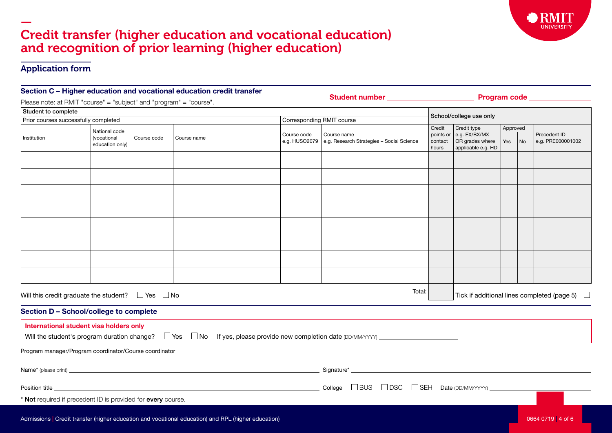## — Credit transfer (higher education and vocational education) and recognition of prior learning (higher education)

### Application form

| Section C - Higher education and vocational education credit transfer<br>Please note: at RMIT "course" = "subject" and "program" = "course". |                                                              |             |             |                              |                                                                                                                                 |                               |                                                                     |          |  |                                                    |  |  |
|----------------------------------------------------------------------------------------------------------------------------------------------|--------------------------------------------------------------|-------------|-------------|------------------------------|---------------------------------------------------------------------------------------------------------------------------------|-------------------------------|---------------------------------------------------------------------|----------|--|----------------------------------------------------|--|--|
| Student to complete                                                                                                                          |                                                              |             |             |                              |                                                                                                                                 |                               |                                                                     |          |  |                                                    |  |  |
| Prior courses successfully completed                                                                                                         |                                                              |             |             | Corresponding RMIT course    |                                                                                                                                 |                               | School/college use only                                             |          |  |                                                    |  |  |
|                                                                                                                                              |                                                              |             | Course name |                              | Course name<br>e.g. Research Strategies - Social Science                                                                        | Credit                        | Credit type                                                         | Approved |  | Precedent ID<br>e.g. PRE000001002                  |  |  |
| Institution                                                                                                                                  | National code<br>(vocational<br>education only)              | Course code |             | Course code<br>e.g. HUSO2079 |                                                                                                                                 | points or<br>contact<br>hours | e.g. EX/BX/MX<br>OR grades where<br>Yes<br>No<br>applicable e.g. HD |          |  |                                                    |  |  |
|                                                                                                                                              |                                                              |             |             |                              |                                                                                                                                 |                               |                                                                     |          |  |                                                    |  |  |
|                                                                                                                                              |                                                              |             |             |                              |                                                                                                                                 |                               |                                                                     |          |  |                                                    |  |  |
|                                                                                                                                              |                                                              |             |             |                              |                                                                                                                                 |                               |                                                                     |          |  |                                                    |  |  |
|                                                                                                                                              |                                                              |             |             |                              |                                                                                                                                 |                               |                                                                     |          |  |                                                    |  |  |
|                                                                                                                                              |                                                              |             |             |                              |                                                                                                                                 |                               |                                                                     |          |  |                                                    |  |  |
|                                                                                                                                              |                                                              |             |             |                              |                                                                                                                                 |                               |                                                                     |          |  |                                                    |  |  |
|                                                                                                                                              |                                                              |             |             |                              |                                                                                                                                 |                               |                                                                     |          |  |                                                    |  |  |
|                                                                                                                                              | Will this credit graduate the student? $\Box$ Yes $\Box$ No  |             |             |                              | Total:                                                                                                                          |                               |                                                                     |          |  | Tick if additional lines completed (page 5) $\Box$ |  |  |
|                                                                                                                                              | Section D - School/college to complete                       |             |             |                              |                                                                                                                                 |                               |                                                                     |          |  |                                                    |  |  |
|                                                                                                                                              | International student visa holders only                      |             |             |                              | Will the student's program duration change? $\Box$ Yes $\Box$ No If yes, please provide new completion date (DD/MM/YYYY) $\_\_$ |                               |                                                                     |          |  |                                                    |  |  |
|                                                                                                                                              | Program manager/Program coordinator/Course coordinator       |             |             |                              |                                                                                                                                 |                               |                                                                     |          |  |                                                    |  |  |
|                                                                                                                                              |                                                              |             |             |                              |                                                                                                                                 |                               |                                                                     |          |  |                                                    |  |  |
|                                                                                                                                              |                                                              |             |             |                              | $\blacksquare$ Position title $\blacksquare$ BUS $\square$ DSC $\square$ SEH Date (DD/MM/YYY) $\blacksquare$                    |                               |                                                                     |          |  |                                                    |  |  |
|                                                                                                                                              | * Not required if precedent ID is provided for every course. |             |             |                              |                                                                                                                                 |                               |                                                                     |          |  |                                                    |  |  |

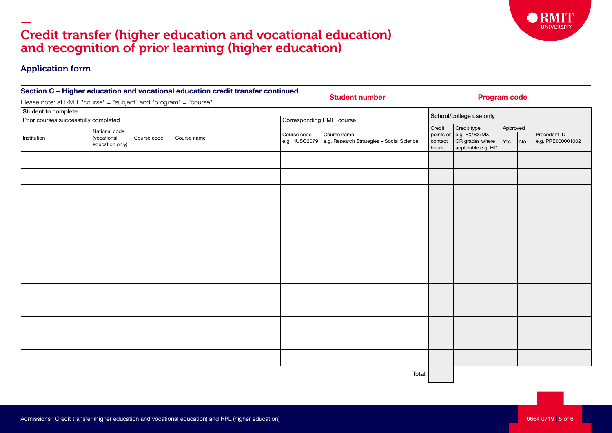## — Credit transfer (higher education and vocational education) and recognition of prior learning (higher education)

### Application form

| Section C – Higher education and vocational education credit transfer continued |                                                 |             |             |                           | Student number _____________________ | Program code ________________ |                                                          |                            |                                                                                 |                 |    |                                   |
|---------------------------------------------------------------------------------|-------------------------------------------------|-------------|-------------|---------------------------|--------------------------------------|-------------------------------|----------------------------------------------------------|----------------------------|---------------------------------------------------------------------------------|-----------------|----|-----------------------------------|
| Please note: at RMIT "course" = "subject" and "program" = "course".             |                                                 |             |             |                           |                                      |                               |                                                          |                            |                                                                                 |                 |    |                                   |
| Student to complete                                                             |                                                 |             |             |                           |                                      |                               |                                                          |                            |                                                                                 |                 |    |                                   |
| Prior courses successfully completed                                            |                                                 |             |             | Corresponding RMIT course |                                      |                               | School/college use only                                  |                            |                                                                                 |                 |    |                                   |
| Institution                                                                     | National code<br>(vocational<br>education only) | Course code | Course name |                           |                                      | Course code<br>e.g. HUSO2079  | Course name<br>e.g. Research Strategies - Social Science | Credit<br>contact<br>hours | Credit type<br>points or e.g. EX/BX/MX<br>OR grades where<br>applicable e.g. HD | Approved<br>Yes | No | Precedent ID<br>e.g. PRE000001002 |
|                                                                                 |                                                 |             |             |                           |                                      |                               |                                                          |                            |                                                                                 |                 |    |                                   |
|                                                                                 |                                                 |             |             |                           |                                      |                               |                                                          |                            |                                                                                 |                 |    |                                   |
|                                                                                 |                                                 |             |             |                           |                                      |                               |                                                          |                            |                                                                                 |                 |    |                                   |
|                                                                                 |                                                 |             |             |                           |                                      |                               |                                                          |                            |                                                                                 |                 |    |                                   |
|                                                                                 |                                                 |             |             |                           |                                      |                               |                                                          |                            |                                                                                 |                 |    |                                   |
|                                                                                 |                                                 |             |             |                           |                                      |                               |                                                          |                            |                                                                                 |                 |    |                                   |
|                                                                                 |                                                 |             |             |                           |                                      |                               |                                                          |                            |                                                                                 |                 |    |                                   |
|                                                                                 |                                                 |             |             |                           |                                      |                               |                                                          |                            |                                                                                 |                 |    |                                   |
|                                                                                 |                                                 |             |             |                           |                                      |                               |                                                          |                            |                                                                                 |                 |    |                                   |
|                                                                                 |                                                 |             |             |                           |                                      |                               |                                                          |                            |                                                                                 |                 |    |                                   |
|                                                                                 |                                                 |             |             |                           |                                      |                               |                                                          |                            |                                                                                 |                 |    |                                   |
|                                                                                 |                                                 |             |             |                           |                                      |                               |                                                          |                            |                                                                                 |                 |    |                                   |
|                                                                                 |                                                 |             |             |                           |                                      |                               |                                                          |                            |                                                                                 |                 |    |                                   |

Total:

**UNIVERSITY**